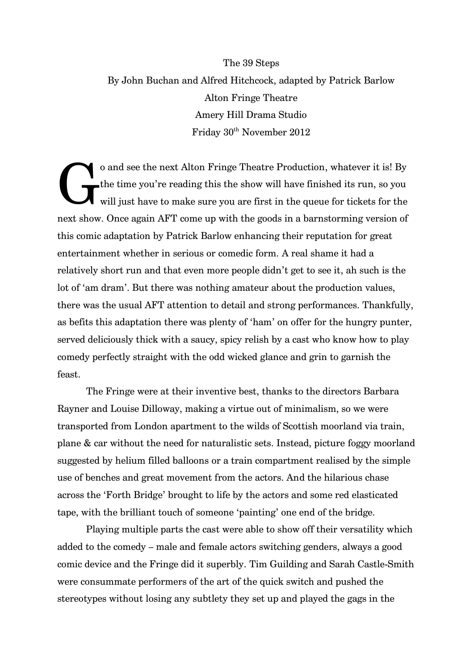## The 39 Steps By John Buchan and Alfred Hitchcock, adapted by Patrick Barlow Alton Fringe Theatre Amery Hill Drama Studio Friday  $30<sup>th</sup>$  November 2012

o and see the next Alton Fringe Theatre Production, whatever it is! By the time you're reading this the show will have finished its run, so you $\,$ will just have to make sure you are first in the queue for tickets for the next show. Once again AFT come up with the goods in a barnstorming version of this comic adaptation by Patrick Barlow enhancing their reputation for great entertainment whether in serious or comedic form. A real shame it had a relatively short run and that even more people didn't get to see it, ah such is the lot of 'am dram'. But there was nothing amateur about the production values, there was the usual AFT attention to detail and strong performances. Thankfully, as befits this adaptation there was plenty of 'ham' on offer for the hungry punter, served deliciously thick with a saucy, spicy relish by a cast who know how to play comedy perfectly straight with the odd wicked glance and grin to garnish the feast. G

The Fringe were at their inventive best, thanks to the directors Barbara Rayner and Louise Dilloway, making a virtue out of minimalism, so we were transported from London apartment to the wilds of Scottish moorland via train, plane & car without the need for naturalistic sets. Instead, picture foggy moorland suggested by helium filled balloons or a train compartment realised by the simple use of benches and great movement from the actors. And the hilarious chase across the 'Forth Bridge' brought to life by the actors and some red elasticated tape, with the brilliant touch of someone 'painting' one end of the bridge.

Playing multiple parts the cast were able to show off their versatility which added to the comedy – male and female actors switching genders, always a good comic device and the Fringe did it superbly. Tim Guilding and Sarah Castle-Smith were consummate performers of the art of the quick switch and pushed the stereotypes without losing any subtlety they set up and played the gags in the